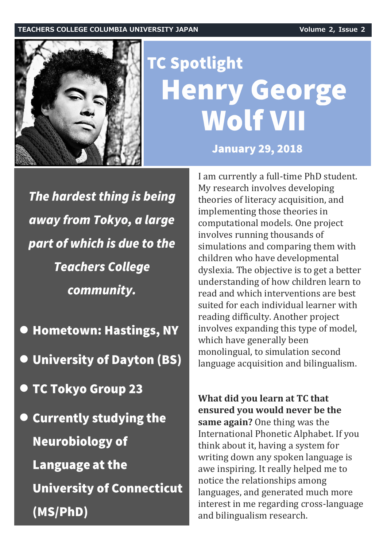

## **TC Spotlight Henry George Wolf VII**

**January 29, 2018** 

The hardest thing is being away from Tokyo, a large part of which is due to the **Teachers College** community.

**• Hometown: Hastings, NY** 

**O** University of Dayton (BS)

- TC Tokyo Group 23
- **O Currently studying the Neurobiology of Language at the University of Connecticut** (MS/PhD)

I am currently a full-time PhD student. My research involves developing theories of literacy acquisition, and implementing those theories in computational models. One project involves running thousands of simulations and comparing them with children who have developmental dyslexia. The objective is to get a better understanding of how children learn to read and which interventions are best suited for each individual learner with reading difficulty. Another project involves expanding this type of model, which have generally been monolingual, to simulation second language acquisition and bilingualism.

**What did you learn at TC that ensured you would never be the same again?** One thing was the International Phonetic Alphabet. If you think about it, having a system for writing down any spoken language is awe inspiring. It really helped me to notice the relationships among languages, and generated much more interest in me regarding cross-language and bilingualism research.